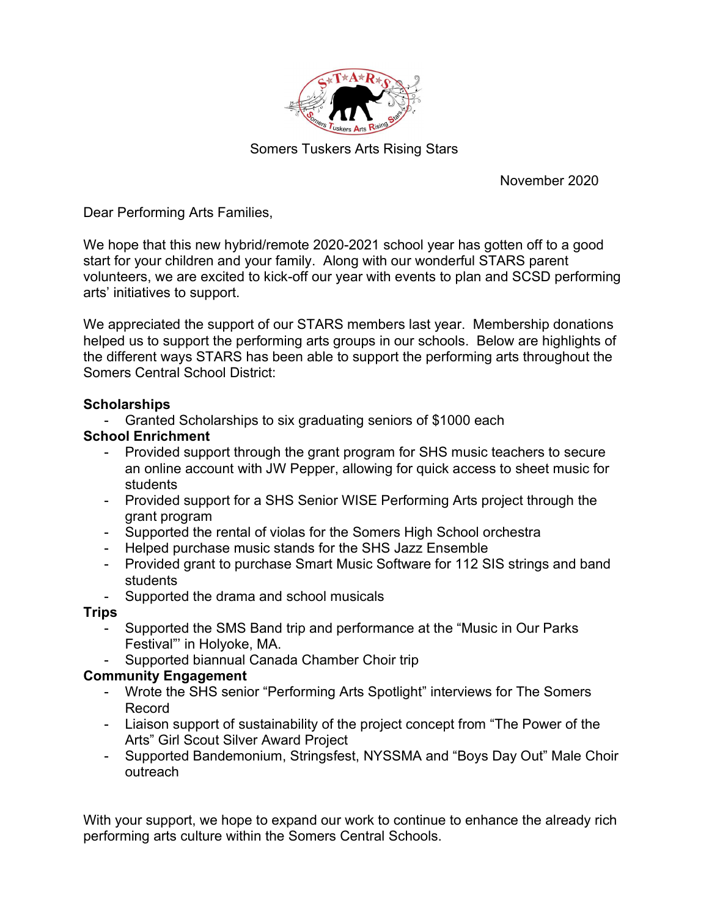

Somers Tuskers Arts Rising Stars

November 2020

Dear Performing Arts Families,

We hope that this new hybrid/remote 2020-2021 school year has gotten off to a good start for your children and your family. Along with our wonderful STARS parent volunteers, we are excited to kick-off our year with events to plan and SCSD performing arts' initiatives to support.

We appreciated the support of our STARS members last year. Membership donations helped us to support the performing arts groups in our schools. Below are highlights of the different ways STARS has been able to support the performing arts throughout the Somers Central School District:

### **Scholarships**

- Granted Scholarships to six graduating seniors of \$1000 each

### School Enrichment

- Provided support through the grant program for SHS music teachers to secure an online account with JW Pepper, allowing for quick access to sheet music for students
- Provided support for a SHS Senior WISE Performing Arts project through the grant program
- Supported the rental of violas for the Somers High School orchestra
- Helped purchase music stands for the SHS Jazz Ensemble
- Provided grant to purchase Smart Music Software for 112 SIS strings and band students
- Supported the drama and school musicals

### Trips

- Supported the SMS Band trip and performance at the "Music in Our Parks Festival"' in Holyoke, MA.
- Supported biannual Canada Chamber Choir trip

## Community Engagement

- Wrote the SHS senior "Performing Arts Spotlight" interviews for The Somers Record
- Liaison support of sustainability of the project concept from "The Power of the Arts" Girl Scout Silver Award Project
- Supported Bandemonium, Stringsfest, NYSSMA and "Boys Day Out" Male Choir outreach

With your support, we hope to expand our work to continue to enhance the already rich performing arts culture within the Somers Central Schools.